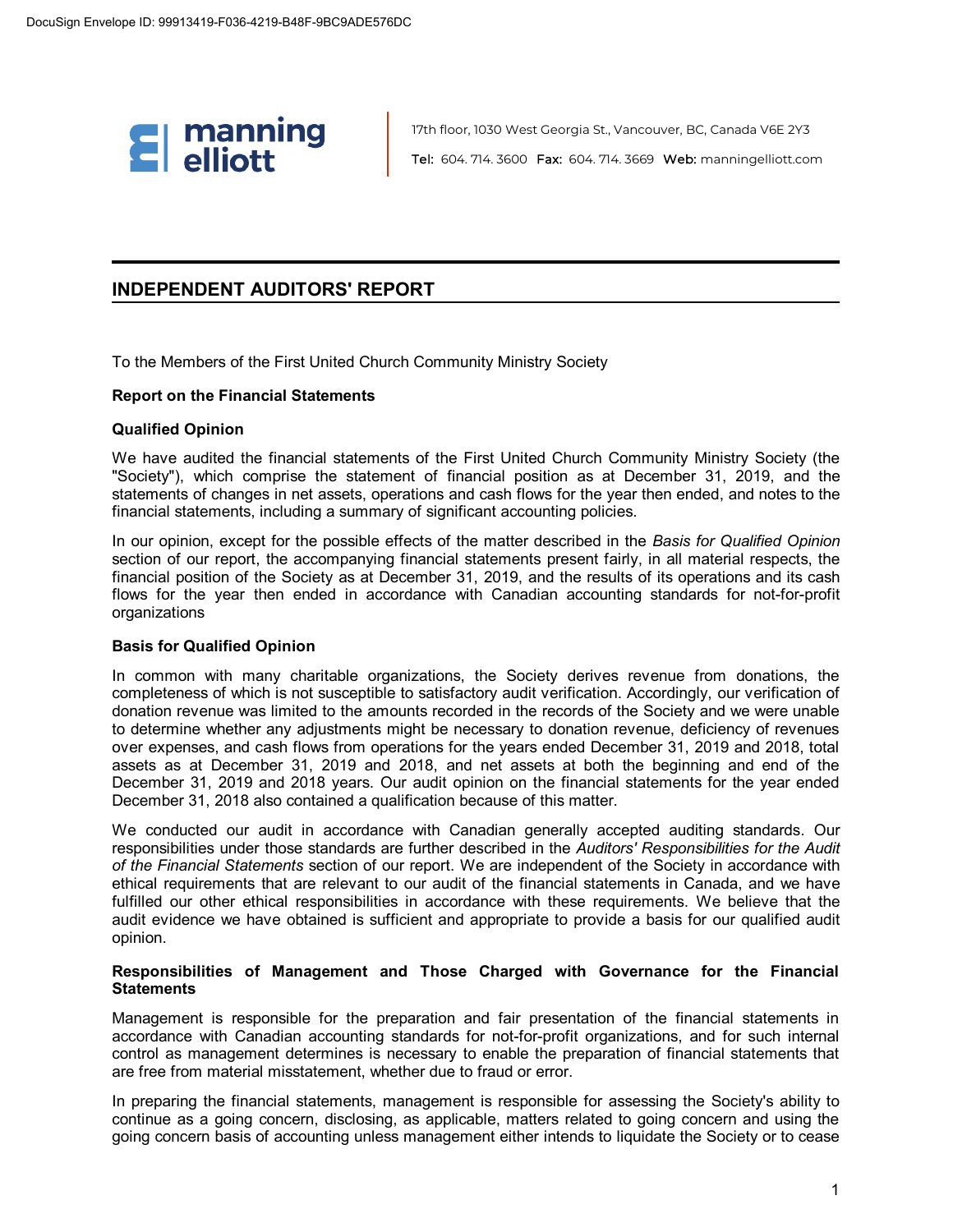

17th floor, 1030 West Georgia St., Vancouver, BC, Canada V6E 2Y3 Tel: 604. 714. 3600 Fax: 604. 714. 3669 Web: manningelliott.com

### **INDEPENDENT AUDITORS' REPORT**

To the Members of the First United Church Community Ministry Society

#### **Report on the Financial Statements**

#### **Qualified Opinion**

We have audited the financial statements of the First United Church Community Ministry Society (the "Society"), which comprise the statement of financial position as at December 31, 2019, and the statements of changes in net assets, operations and cash flows for the year then ended, and notes to the financial statements, including a summary of significant accounting policies.

In our opinion, except for the possible effects of the matter described in the *Basis for Qualified Opinion* section of our report, the accompanying financial statements present fairly, in all material respects, the financial position of the Society as at December 31, 2019, and the results of its operations and its cash flows for the year then ended in accordance with Canadian accounting standards for not-for-profit organizations

### **Basis for Qualified Opinion**

In common with many charitable organizations, the Society derives revenue from donations, the completeness of which is not susceptible to satisfactory audit verification. Accordingly, our verification of donation revenue was limited to the amounts recorded in the records of the Society and we were unable to determine whether any adjustments might be necessary to donation revenue, deficiency of revenues over expenses, and cash flows from operations for the years ended December 31, 2019 and 2018, total assets as at December 31, 2019 and 2018, and net assets at both the beginning and end of the December 31, 2019 and 2018 years. Our audit opinion on the financial statements for the year ended December 31, 2018 also contained a qualification because of this matter.

We conducted our audit in accordance with Canadian generally accepted auditing standards. Our responsibilities under those standards are further described in the *Auditors' Responsibilities for the Audit of the Financial Statements* section of our report. We are independent of the Society in accordance with ethical requirements that are relevant to our audit of the financial statements in Canada, and we have fulfilled our other ethical responsibilities in accordance with these requirements. We believe that the audit evidence we have obtained is sufficient and appropriate to provide a basis for our qualified audit opinion.

#### **Responsibilities of Management and Those Charged with Governance for the Financial Statements**

Management is responsible for the preparation and fair presentation of the financial statements in accordance with Canadian accounting standards for not-for-profit organizations, and for such internal control as management determines is necessary to enable the preparation of financial statements that are free from material misstatement, whether due to fraud or error.

In preparing the financial statements, management is responsible for assessing the Society's ability to continue as a going concern, disclosing, as applicable, matters related to going concern and using the going concern basis of accounting unless management either intends to liquidate the Society or to cease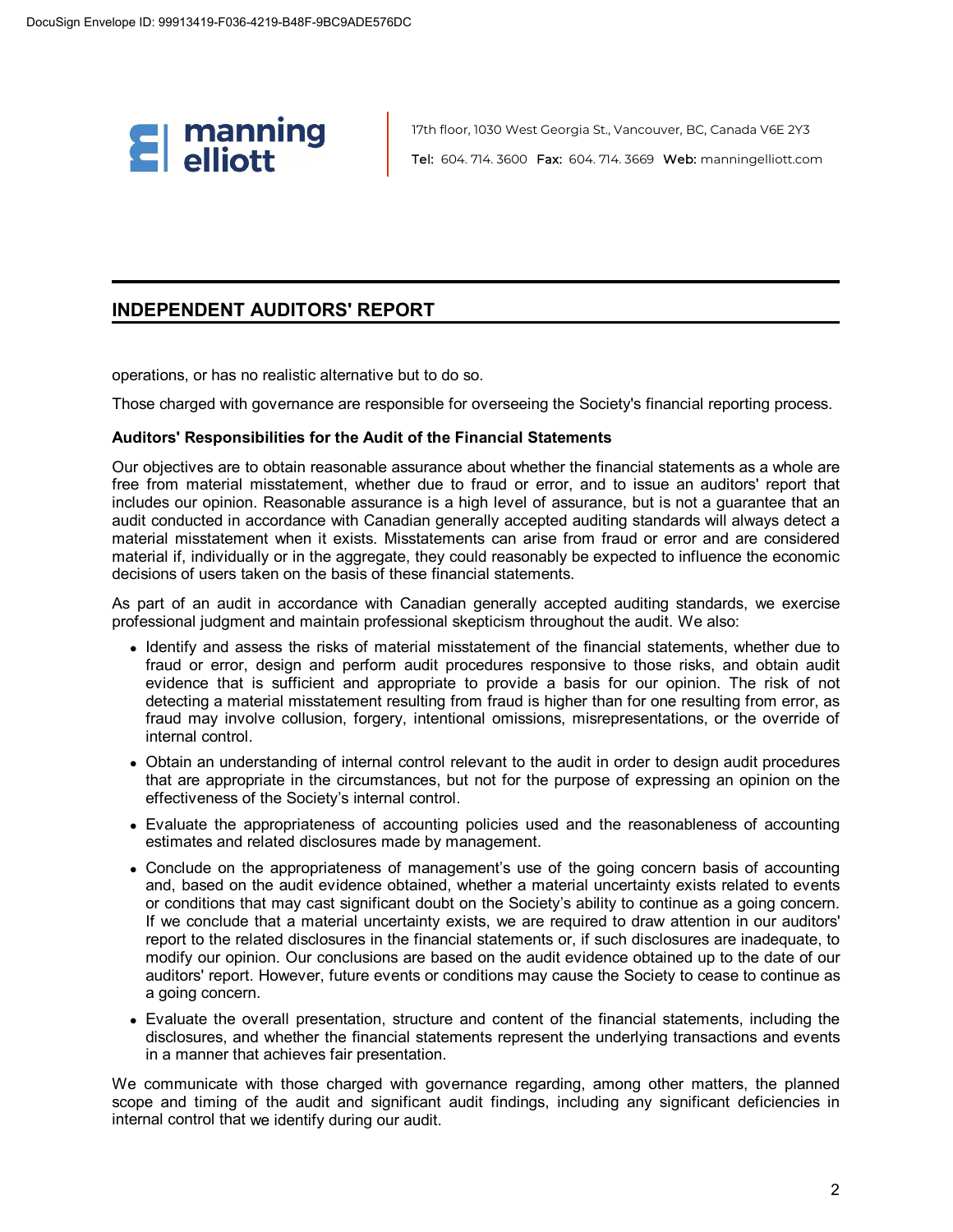

17th floor, 1030 West Georgia St., Vancouver, BC, Canada V6E 2Y3 Tel: 604. 714. 3600 Fax: 604. 714. 3669 Web: manningelliott.com

### **INDEPENDENT AUDITORS' REPORT**

operations, or has no realistic alternative but to do so.

Those charged with governance are responsible for overseeing the Society's financial reporting process.

#### **Auditors' Responsibilities for the Audit of the Financial Statements**

Our objectives are to obtain reasonable assurance about whether the financial statements as a whole are free from material misstatement, whether due to fraud or error, and to issue an auditors' report that includes our opinion. Reasonable assurance is a high level of assurance, but is not a guarantee that an audit conducted in accordance with Canadian generally accepted auditing standards will always detect a material misstatement when it exists. Misstatements can arise from fraud or error and are considered material if, individually or in the aggregate, they could reasonably be expected to influence the economic decisions of users taken on the basis of these financial statements.

As part of an audit in accordance with Canadian generally accepted auditing standards, we exercise professional judgment and maintain professional skepticism throughout the audit. We also:

- Identify and assess the risks of material misstatement of the financial statements, whether due to fraud or error, design and perform audit procedures responsive to those risks, and obtain audit evidence that is sufficient and appropriate to provide a basis for our opinion. The risk of not detecting a material misstatement resulting from fraud is higher than for one resulting from error, as fraud may involve collusion, forgery, intentional omissions, misrepresentations, or the override of internal control.
- Obtain an understanding of internal control relevant to the audit in order to design audit procedures that are appropriate in the circumstances, but not for the purpose of expressing an opinion on the effectiveness of the Society's internal control.
- Evaluate the appropriateness of accounting policies used and the reasonableness of accounting estimates and related disclosures made by management.
- Conclude on the appropriateness of management's use of the going concern basis of accounting and, based on the audit evidence obtained, whether a material uncertainty exists related to events or conditions that may cast significant doubt on the Society's ability to continue as a going concern. If we conclude that a material uncertainty exists, we are required to draw attention in our auditors' report to the related disclosures in the financial statements or, if such disclosures are inadequate, to modify our opinion. Our conclusions are based on the audit evidence obtained up to the date of our auditors' report. However, future events or conditions may cause the Society to cease to continue as a going concern.
- Evaluate the overall presentation, structure and content of the financial statements, including the disclosures, and whether the financial statements represent the underlying transactions and events in a manner that achieves fair presentation.

We communicate with those charged with governance regarding, among other matters, the planned scope and timing of the audit and significant audit findings, including any significant deficiencies in internal control that we identify during our audit.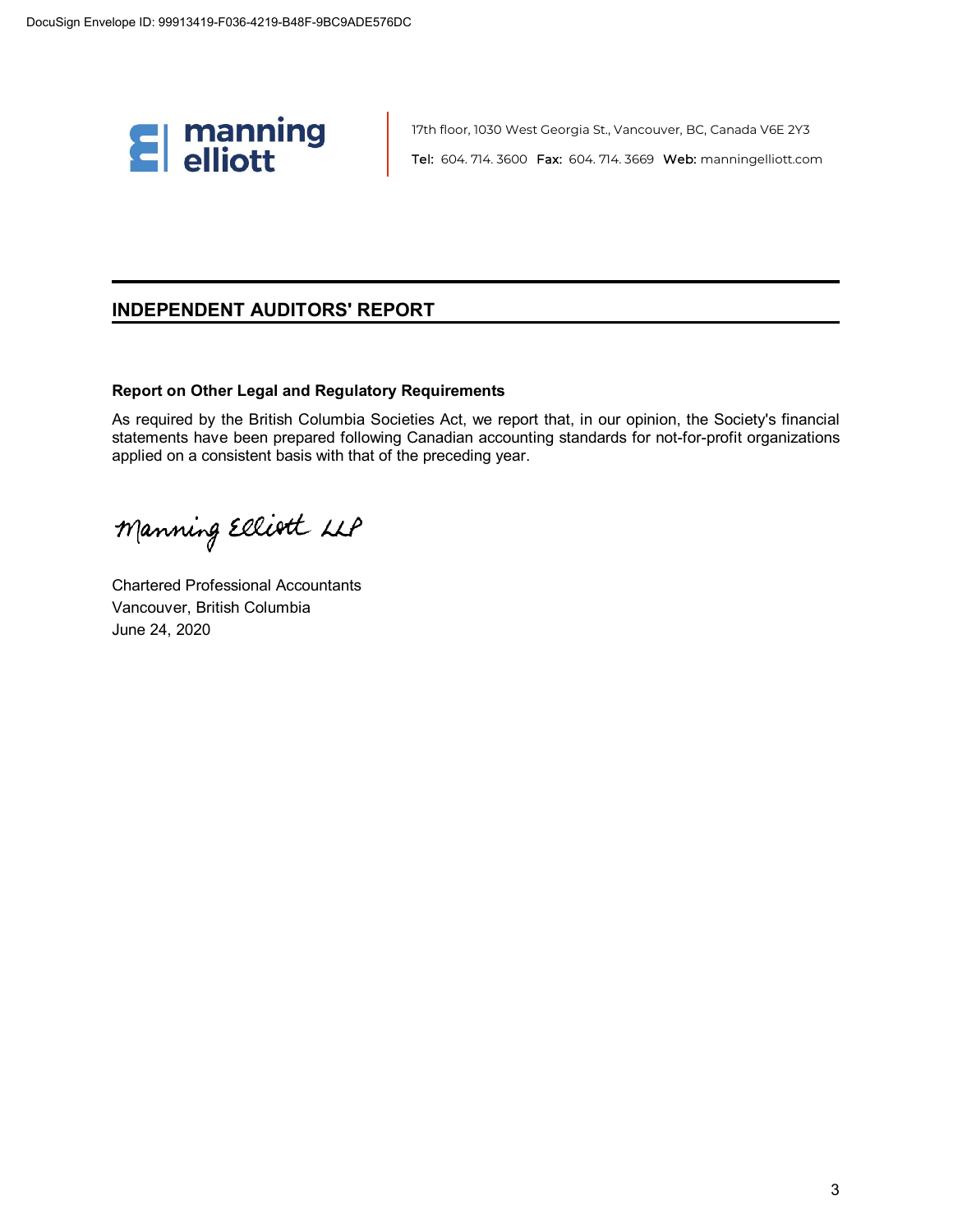

17th floor, 1030 West Georgia St., Vancouver, BC, Canada V6E 2Y3 Tel: 604. 714. 3600 Fax: 604. 714. 3669 Web: manningelliott.com

### **INDEPENDENT AUDITORS' REPORT**

### **Report on Other Legal and Regulatory Requirements**

As required by the British Columbia Societies Act, we report that, in our opinion, the Society's financial statements have been prepared following Canadian accounting standards for not-for-profit organizations applied on a consistent basis with that of the preceding year.

Manning Elliott LLP

Chartered Professional Accountants Vancouver, British Columbia June 24, 2020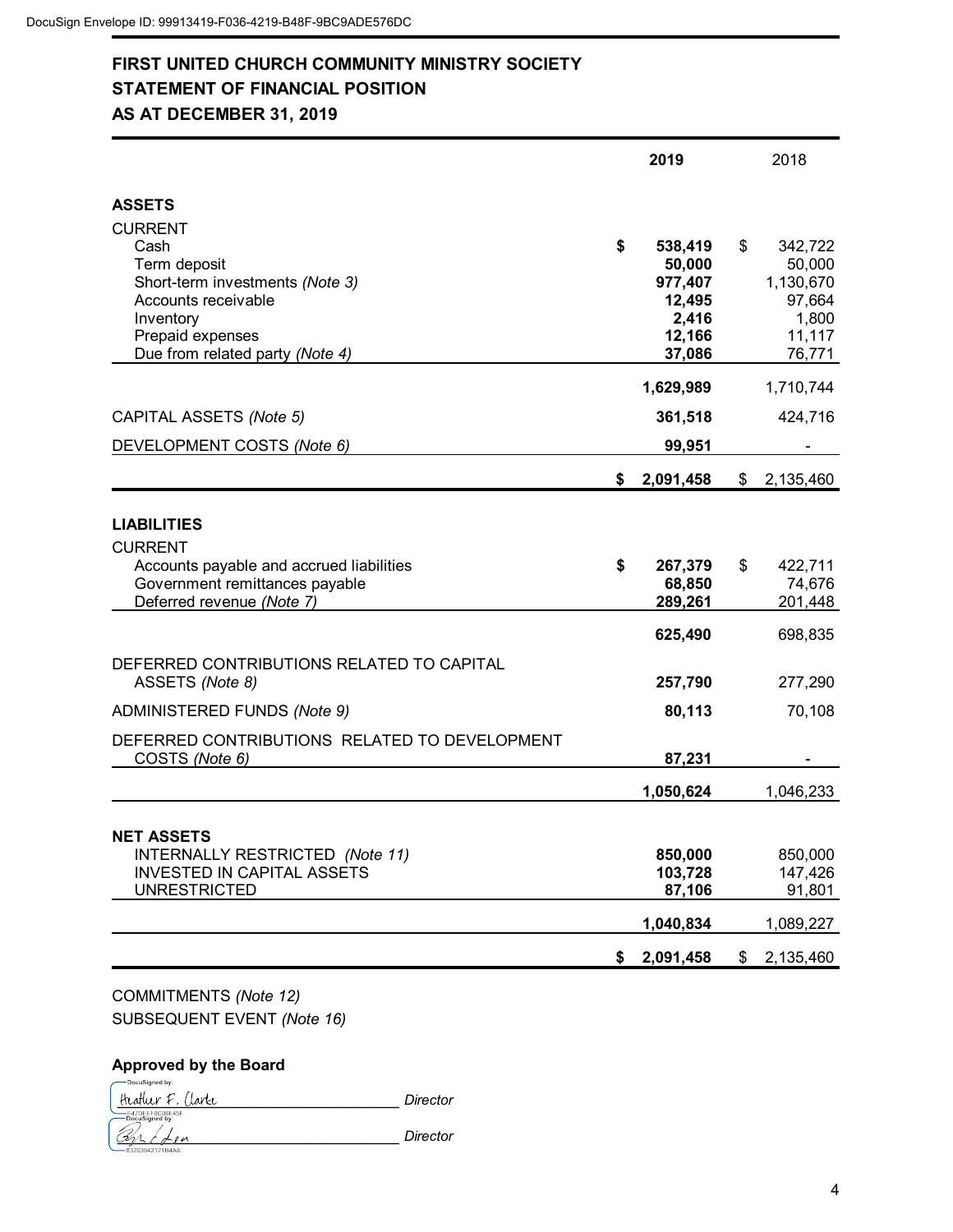### **FIRST UNITED CHURCH COMMUNITY MINISTRY SOCIETY STATEMENT OF FINANCIAL POSITION AS AT DECEMBER 31, 2019**

|                                                                                                                                                                      | 2019                                                                      | 2018                                                                        |
|----------------------------------------------------------------------------------------------------------------------------------------------------------------------|---------------------------------------------------------------------------|-----------------------------------------------------------------------------|
| <b>ASSETS</b>                                                                                                                                                        |                                                                           |                                                                             |
| <b>CURRENT</b><br>Cash<br>Term deposit<br>Short-term investments (Note 3)<br>Accounts receivable<br>Inventory<br>Prepaid expenses<br>Due from related party (Note 4) | \$<br>538,419<br>50,000<br>977,407<br>12,495<br>2,416<br>12,166<br>37,086 | \$<br>342,722<br>50,000<br>1,130,670<br>97,664<br>1,800<br>11,117<br>76,771 |
|                                                                                                                                                                      | 1,629,989                                                                 | 1,710,744                                                                   |
| CAPITAL ASSETS (Note 5)                                                                                                                                              | 361,518                                                                   | 424,716                                                                     |
| DEVELOPMENT COSTS (Note 6)                                                                                                                                           | 99,951                                                                    |                                                                             |
|                                                                                                                                                                      | \$<br>2,091,458                                                           | \$<br>2,135,460                                                             |
| <b>LIABILITIES</b><br><b>CURRENT</b><br>Accounts payable and accrued liabilities<br>Government remittances payable<br>Deferred revenue (Note 7)                      | \$<br>267,379<br>68,850<br>289,261                                        | \$<br>422,711<br>74,676<br>201,448                                          |
|                                                                                                                                                                      | 625,490                                                                   | 698,835                                                                     |
| DEFERRED CONTRIBUTIONS RELATED TO CAPITAL<br>ASSETS (Note 8)                                                                                                         | 257,790                                                                   | 277,290                                                                     |
| ADMINISTERED FUNDS (Note 9)                                                                                                                                          | 80,113                                                                    | 70,108                                                                      |
| DEFERRED CONTRIBUTIONS RELATED TO DEVELOPMENT<br>COSTS (Note 6)                                                                                                      | 87,231                                                                    |                                                                             |
|                                                                                                                                                                      | 1,050,624                                                                 | 1,046,233                                                                   |
| <b>NET ASSETS</b><br>INTERNALLY RESTRICTED (Note 11)<br><b>INVESTED IN CAPITAL ASSETS</b><br><b>UNRESTRICTED</b>                                                     | 850,000<br>103,728<br>87,106<br>1,040,834                                 | 850,000<br>147,426<br>91,801<br>1,089,227                                   |
|                                                                                                                                                                      | \$<br>2,091,458                                                           | \$<br>2,135,460                                                             |
|                                                                                                                                                                      |                                                                           |                                                                             |

COMMITMENTS *(Note 12)* SUBSEQUENT EVENT *(Note 16)*

### **Approved by the Board**

.<br>DocuSigned by:

\_\_\_\_\_\_\_\_\_\_\_\_\_\_\_\_\_\_\_\_\_\_\_\_\_\_\_\_\_ *Director* \_\_\_\_\_\_\_\_\_\_\_\_\_\_\_\_\_\_\_\_\_\_\_\_\_\_\_\_\_ *Director*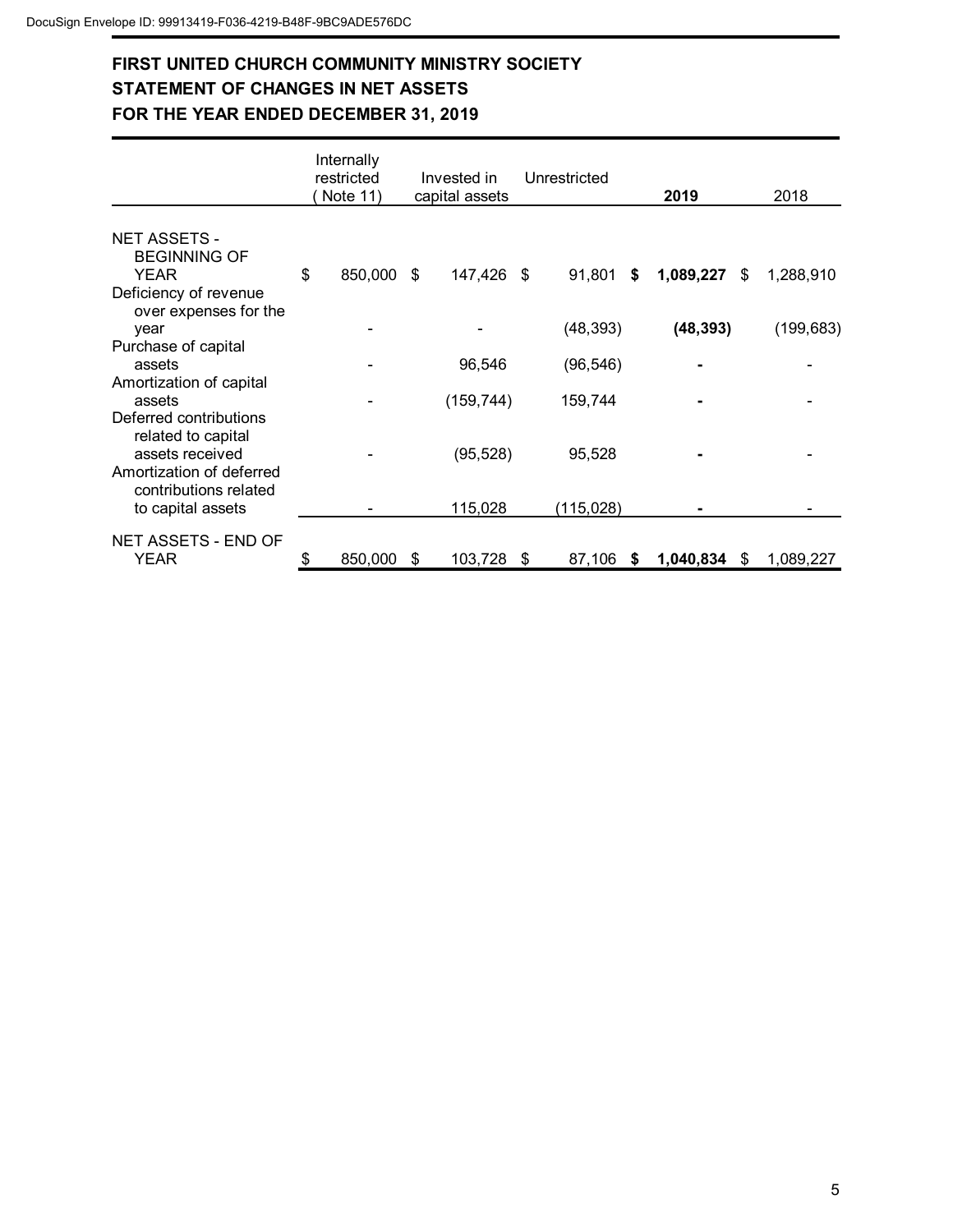# **FIRST UNITED CHURCH COMMUNITY MINISTRY SOCIETY STATEMENT OF CHANGES IN NET ASSETS FOR THE YEAR ENDED DECEMBER 31, 2019**

|                                                                             |    | Internally<br>restricted<br>Note 11) |    | Invested in<br>capital assets | Unrestricted      | 2019      |    | 2018       |
|-----------------------------------------------------------------------------|----|--------------------------------------|----|-------------------------------|-------------------|-----------|----|------------|
| <b>NET ASSETS -</b><br><b>BEGINNING OF</b><br>YEAR<br>Deficiency of revenue | \$ | 850,000 \$                           |    | 147,426 \$                    | 91,801<br>S.      | 1,089,227 | S. | 1,288,910  |
| over expenses for the<br>vear                                               |    |                                      |    |                               | (48, 393)         | (48, 393) |    | (199, 683) |
| Purchase of capital<br>assets<br>Amortization of capital                    |    |                                      |    | 96,546                        | (96, 546)         |           |    |            |
| assets<br>Deferred contributions                                            |    |                                      |    | (159, 744)                    | 159,744           |           |    |            |
| related to capital<br>assets received<br>Amortization of deferred           |    |                                      |    | (95, 528)                     | 95,528            |           |    |            |
| contributions related<br>to capital assets                                  |    |                                      |    | 115,028                       | (115,028)         |           |    |            |
| NET ASSETS - END OF<br>YEAR                                                 | S  | 850,000                              | S. | 103,728                       | \$<br>87,106<br>S | 1,040,834 | S. | 1,089,227  |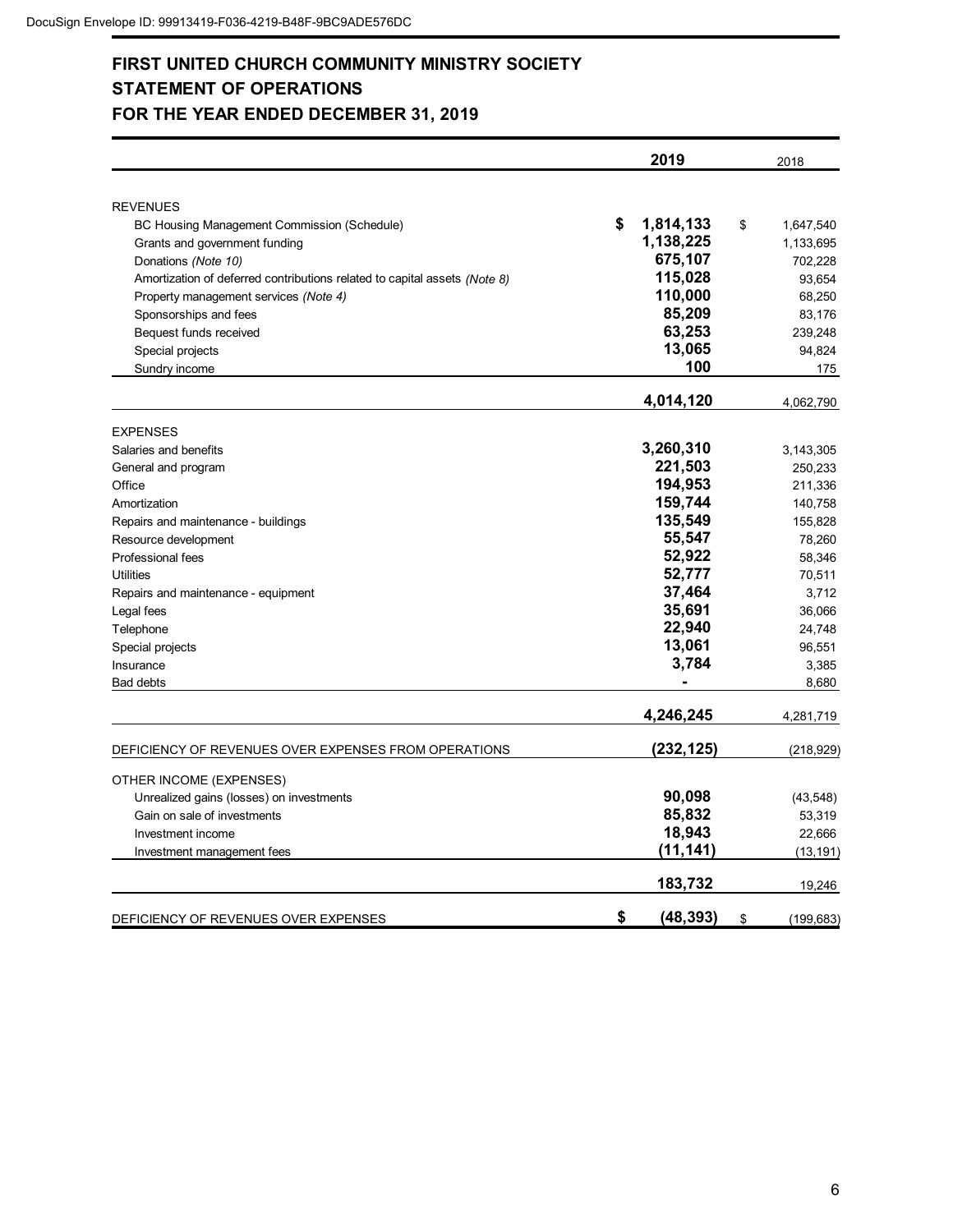# **FIRST UNITED CHURCH COMMUNITY MINISTRY SOCIETY STATEMENT OF OPERATIONS FOR THE YEAR ENDED DECEMBER 31, 2019**

|                                                                           | 2019            | 2018             |
|---------------------------------------------------------------------------|-----------------|------------------|
|                                                                           |                 |                  |
| <b>REVENUES</b>                                                           |                 |                  |
| BC Housing Management Commission (Schedule)                               | \$<br>1,814,133 | \$<br>1,647,540  |
| Grants and government funding                                             | 1,138,225       | 1,133,695        |
| Donations (Note 10)                                                       | 675,107         | 702,228          |
| Amortization of deferred contributions related to capital assets (Note 8) | 115,028         | 93,654           |
| Property management services (Note 4)                                     | 110,000         | 68,250           |
| Sponsorships and fees                                                     | 85,209          | 83,176           |
| Bequest funds received                                                    | 63,253          | 239,248          |
| Special projects                                                          | 13,065          | 94,824           |
| Sundry income                                                             | 100             | 175              |
|                                                                           | 4,014,120       | 4,062,790        |
| <b>EXPENSES</b>                                                           |                 |                  |
| Salaries and benefits                                                     | 3,260,310       | 3,143,305        |
| General and program                                                       | 221,503         | 250,233          |
| Office                                                                    | 194,953         | 211,336          |
| Amortization                                                              | 159,744         | 140,758          |
| Repairs and maintenance - buildings                                       | 135,549         | 155,828          |
| Resource development                                                      | 55,547          | 78,260           |
| Professional fees                                                         | 52,922          | 58,346           |
| <b>Utilities</b>                                                          | 52,777          | 70,511           |
| Repairs and maintenance - equipment                                       | 37,464          | 3,712            |
| Legal fees                                                                | 35,691          | 36,066           |
| Telephone                                                                 | 22,940          | 24,748           |
| Special projects                                                          | 13,061          | 96,551           |
| Insurance                                                                 | 3,784           | 3,385            |
| Bad debts                                                                 |                 | 8,680            |
|                                                                           | 4,246,245       | 4,281,719        |
| DEFICIENCY OF REVENUES OVER EXPENSES FROM OPERATIONS                      | (232, 125)      | (218, 929)       |
| OTHER INCOME (EXPENSES)                                                   |                 |                  |
| Unrealized gains (losses) on investments                                  | 90,098          | (43, 548)        |
| Gain on sale of investments                                               | 85,832          | 53,319           |
| Investment income                                                         | 18,943          | 22,666           |
| Investment management fees                                                | (11, 141)       | (13, 191)        |
|                                                                           |                 |                  |
|                                                                           | 183,732         | 19,246           |
| DEFICIENCY OF REVENUES OVER EXPENSES                                      | \$<br>(48, 393) | \$<br>(199, 683) |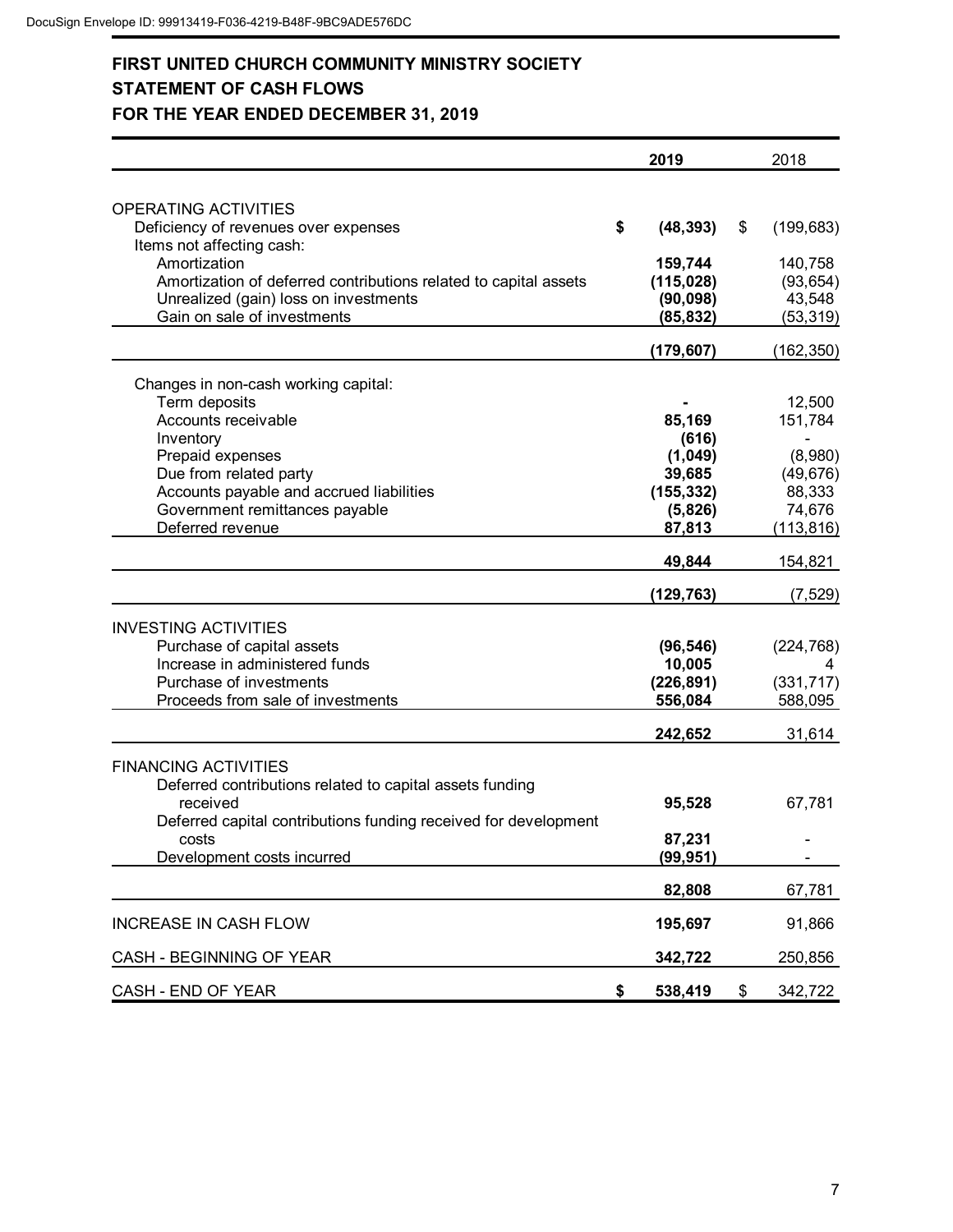# **FIRST UNITED CHURCH COMMUNITY MINISTRY SOCIETY STATEMENT OF CASH FLOWS FOR THE YEAR ENDED DECEMBER 31, 2019**

|                                                                   | 2019          | 2018             |
|-------------------------------------------------------------------|---------------|------------------|
|                                                                   |               |                  |
| <b>OPERATING ACTIVITIES</b>                                       | \$            |                  |
| Deficiency of revenues over expenses<br>Items not affecting cash: | (48, 393)     | \$<br>(199, 683) |
| Amortization                                                      | 159,744       | 140,758          |
| Amortization of deferred contributions related to capital assets  | (115, 028)    | (93, 654)        |
| Unrealized (gain) loss on investments                             | (90, 098)     | 43,548           |
| Gain on sale of investments                                       | (85, 832)     | (53, 319)        |
|                                                                   |               |                  |
|                                                                   | (179, 607)    | (162, 350)       |
| Changes in non-cash working capital:                              |               |                  |
| Term deposits                                                     |               | 12,500           |
| Accounts receivable                                               | 85,169        | 151,784          |
| Inventory                                                         | (616)         |                  |
| Prepaid expenses                                                  | (1,049)       | (8,980)          |
| Due from related party                                            | 39,685        | (49, 676)        |
| Accounts payable and accrued liabilities                          | (155, 332)    | 88,333           |
| Government remittances payable                                    | (5,826)       | 74,676           |
| Deferred revenue                                                  | 87,813        | (113, 816)       |
|                                                                   | 49,844        | 154,821          |
|                                                                   | (129, 763)    | (7, 529)         |
| <b>INVESTING ACTIVITIES</b>                                       |               |                  |
| Purchase of capital assets                                        | (96, 546)     | (224, 768)       |
| Increase in administered funds                                    | 10,005        | 4                |
| Purchase of investments                                           | (226, 891)    | (331, 717)       |
| Proceeds from sale of investments                                 | 556,084       | 588,095          |
|                                                                   | 242,652       | 31,614           |
|                                                                   |               |                  |
| <b>FINANCING ACTIVITIES</b>                                       |               |                  |
| Deferred contributions related to capital assets funding          |               |                  |
| received                                                          | 95,528        | 67,781           |
| Deferred capital contributions funding received for development   |               |                  |
| costs                                                             | 87,231        |                  |
| Development costs incurred                                        | (99, 951)     |                  |
|                                                                   | 82,808        | 67,781           |
| <b>INCREASE IN CASH FLOW</b>                                      | 195,697       | 91,866           |
| CASH - BEGINNING OF YEAR                                          | 342,722       | 250,856          |
| CASH - END OF YEAR                                                | \$<br>538,419 | \$<br>342,722    |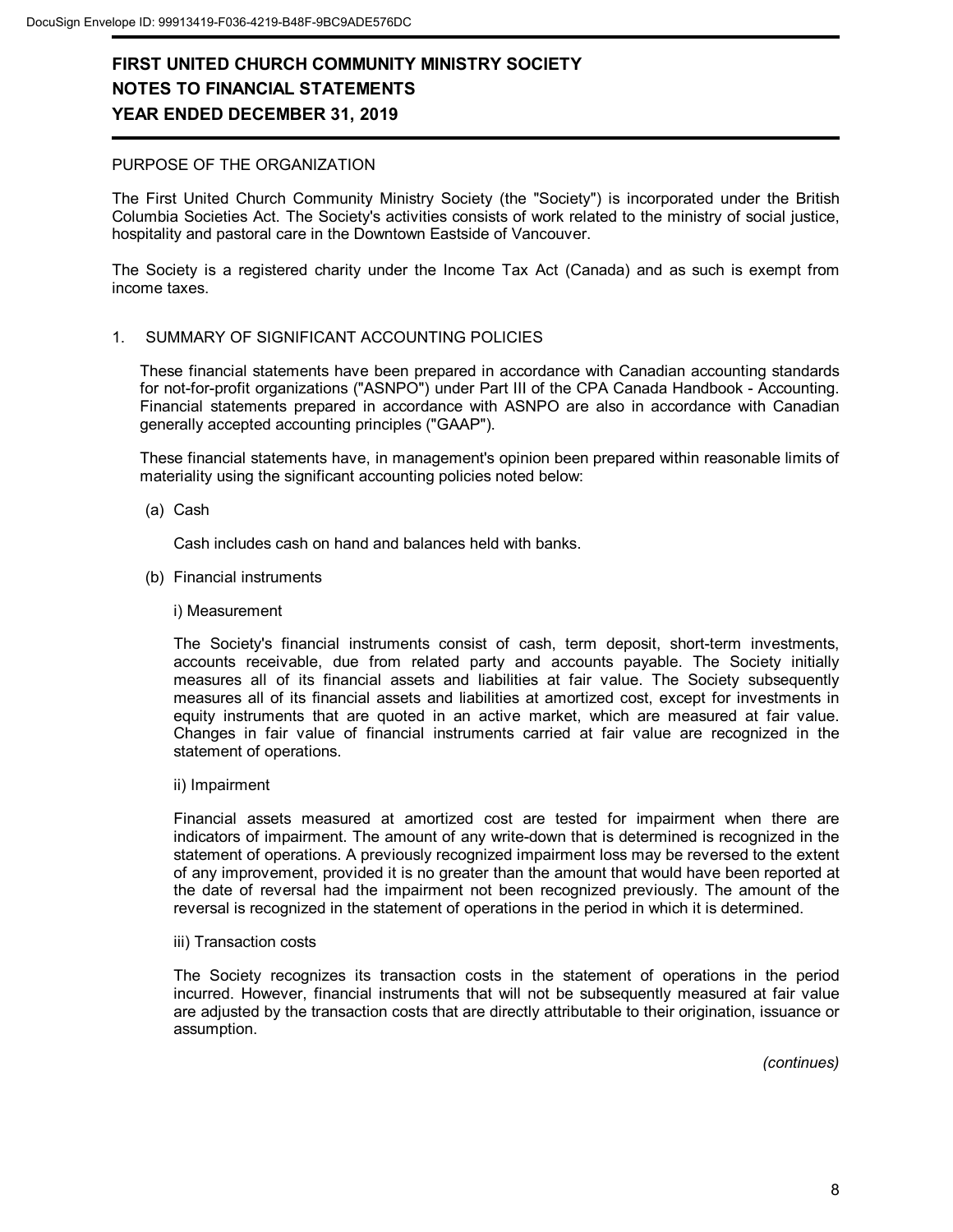#### PURPOSE OF THE ORGANIZATION

The First United Church Community Ministry Society (the "Society") is incorporated under the British Columbia Societies Act. The Society's activities consists of work related to the ministry of social justice, hospitality and pastoral care in the Downtown Eastside of Vancouver.

The Society is a registered charity under the Income Tax Act (Canada) and as such is exempt from income taxes.

#### 1. SUMMARY OF SIGNIFICANT ACCOUNTING POLICIES

These financial statements have been prepared in accordance with Canadian accounting standards for not-for-profit organizations ("ASNPO") under Part III of the CPA Canada Handbook - Accounting. Financial statements prepared in accordance with ASNPO are also in accordance with Canadian generally accepted accounting principles ("GAAP").

These financial statements have, in management's opinion been prepared within reasonable limits of materiality using the significant accounting policies noted below:

(a) Cash

Cash includes cash on hand and balances held with banks.

- (b) Financial instruments
	- i) Measurement

The Society's financial instruments consist of cash, term deposit, short-term investments, accounts receivable, due from related party and accounts payable. The Society initially measures all of its financial assets and liabilities at fair value. The Society subsequently measures all of its financial assets and liabilities at amortized cost, except for investments in equity instruments that are quoted in an active market, which are measured at fair value. Changes in fair value of financial instruments carried at fair value are recognized in the statement of operations.

ii) Impairment

Financial assets measured at amortized cost are tested for impairment when there are indicators of impairment. The amount of any write-down that is determined is recognized in the statement of operations. A previously recognized impairment loss may be reversed to the extent of any improvement, provided it is no greater than the amount that would have been reported at the date of reversal had the impairment not been recognized previously. The amount of the reversal is recognized in the statement of operations in the period in which it is determined.

iii) Transaction costs

The Society recognizes its transaction costs in the statement of operations in the period incurred. However, financial instruments that will not be subsequently measured at fair value are adjusted by the transaction costs that are directly attributable to their origination, issuance or assumption.

*(continues)*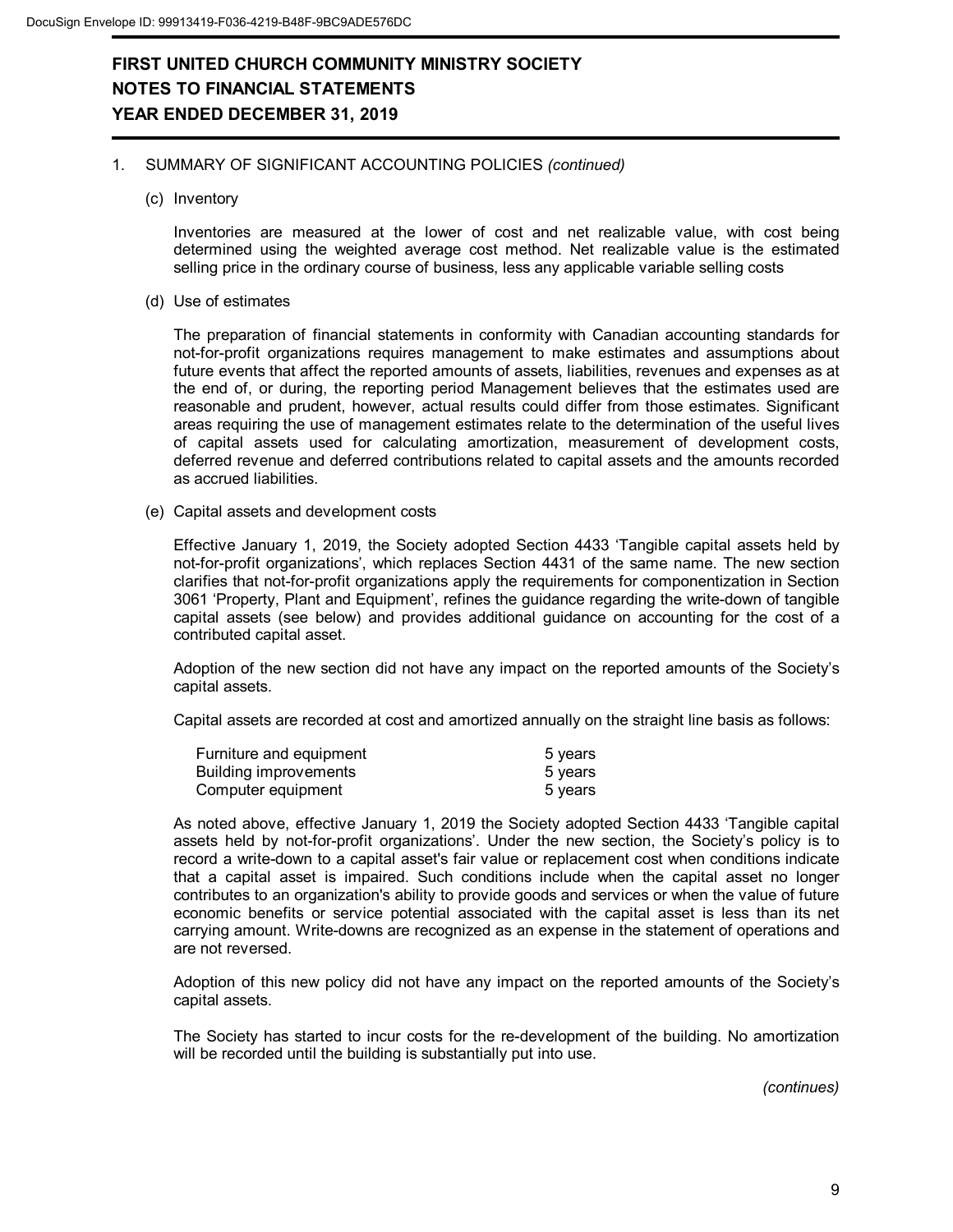#### 1. SUMMARY OF SIGNIFICANT ACCOUNTING POLICIES *(continued)*

(c) Inventory

Inventories are measured at the lower of cost and net realizable value, with cost being determined using the weighted average cost method. Net realizable value is the estimated selling price in the ordinary course of business, less any applicable variable selling costs

(d) Use of estimates

The preparation of financial statements in conformity with Canadian accounting standards for not-for-profit organizations requires management to make estimates and assumptions about future events that affect the reported amounts of assets, liabilities, revenues and expenses as at the end of, or during, the reporting period Management believes that the estimates used are reasonable and prudent, however, actual results could differ from those estimates. Significant areas requiring the use of management estimates relate to the determination of the useful lives of capital assets used for calculating amortization, measurement of development costs, deferred revenue and deferred contributions related to capital assets and the amounts recorded as accrued liabilities.

(e) Capital assets and development costs

Effective January 1, 2019, the Society adopted Section 4433 'Tangible capital assets held by not-for-profit organizations', which replaces Section 4431 of the same name. The new section clarifies that not-for-profit organizations apply the requirements for componentization in Section 3061 'Property, Plant and Equipment', refines the guidance regarding the write-down of tangible capital assets (see below) and provides additional guidance on accounting for the cost of a contributed capital asset.

Adoption of the new section did not have any impact on the reported amounts of the Society's capital assets.

Capital assets are recorded at cost and amortized annually on the straight line basis as follows:

| Furniture and equipment | 5 years |
|-------------------------|---------|
| Building improvements   | 5 years |
| Computer equipment      | 5 years |

As noted above, effective January 1, 2019 the Society adopted Section 4433 'Tangible capital assets held by not-for-profit organizations'. Under the new section, the Society's policy is to record a write-down to a capital asset's fair value or replacement cost when conditions indicate that a capital asset is impaired. Such conditions include when the capital asset no longer contributes to an organization's ability to provide goods and services or when the value of future economic benefits or service potential associated with the capital asset is less than its net carrying amount. Write-downs are recognized as an expense in the statement of operations and are not reversed.

Adoption of this new policy did not have any impact on the reported amounts of the Society's capital assets.

The Society has started to incur costs for the re-development of the building. No amortization will be recorded until the building is substantially put into use.

*(continues)*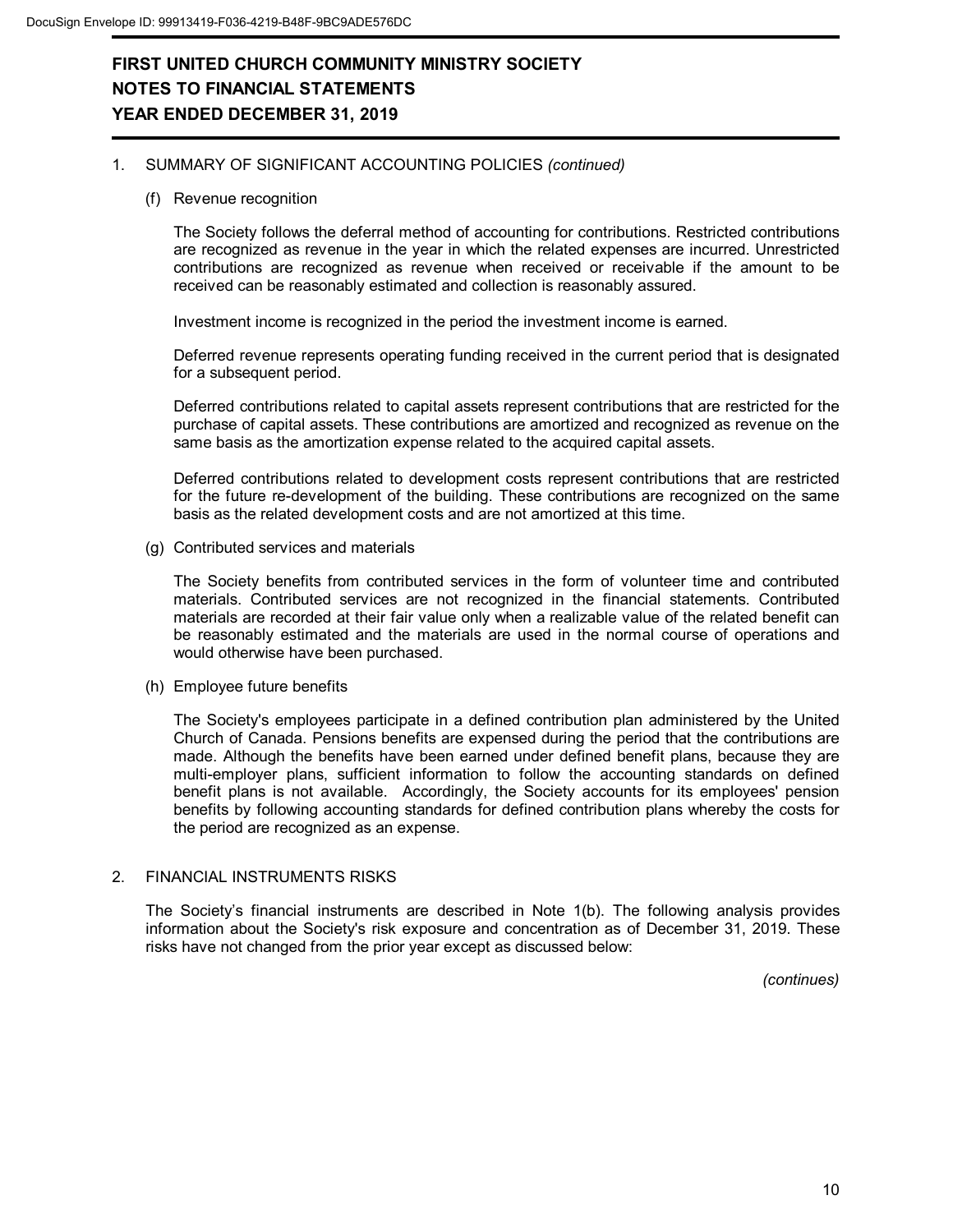#### 1. SUMMARY OF SIGNIFICANT ACCOUNTING POLICIES *(continued)*

(f) Revenue recognition

The Society follows the deferral method of accounting for contributions. Restricted contributions are recognized as revenue in the year in which the related expenses are incurred. Unrestricted contributions are recognized as revenue when received or receivable if the amount to be received can be reasonably estimated and collection is reasonably assured.

Investment income is recognized in the period the investment income is earned.

Deferred revenue represents operating funding received in the current period that is designated for a subsequent period.

Deferred contributions related to capital assets represent contributions that are restricted for the purchase of capital assets. These contributions are amortized and recognized as revenue on the same basis as the amortization expense related to the acquired capital assets.

Deferred contributions related to development costs represent contributions that are restricted for the future re-development of the building. These contributions are recognized on the same basis as the related development costs and are not amortized at this time.

(g) Contributed services and materials

The Society benefits from contributed services in the form of volunteer time and contributed materials. Contributed services are not recognized in the financial statements. Contributed materials are recorded at their fair value only when a realizable value of the related benefit can be reasonably estimated and the materials are used in the normal course of operations and would otherwise have been purchased.

(h) Employee future benefits

The Society's employees participate in a defined contribution plan administered by the United Church of Canada. Pensions benefits are expensed during the period that the contributions are made. Although the benefits have been earned under defined benefit plans, because they are multi-employer plans, sufficient information to follow the accounting standards on defined benefit plans is not available. Accordingly, the Society accounts for its employees' pension benefits by following accounting standards for defined contribution plans whereby the costs for the period are recognized as an expense.

#### 2. FINANCIAL INSTRUMENTS RISKS

The Society's financial instruments are described in Note 1(b). The following analysis provides information about the Society's risk exposure and concentration as of December 31, 2019. These risks have not changed from the prior year except as discussed below:

*(continues)*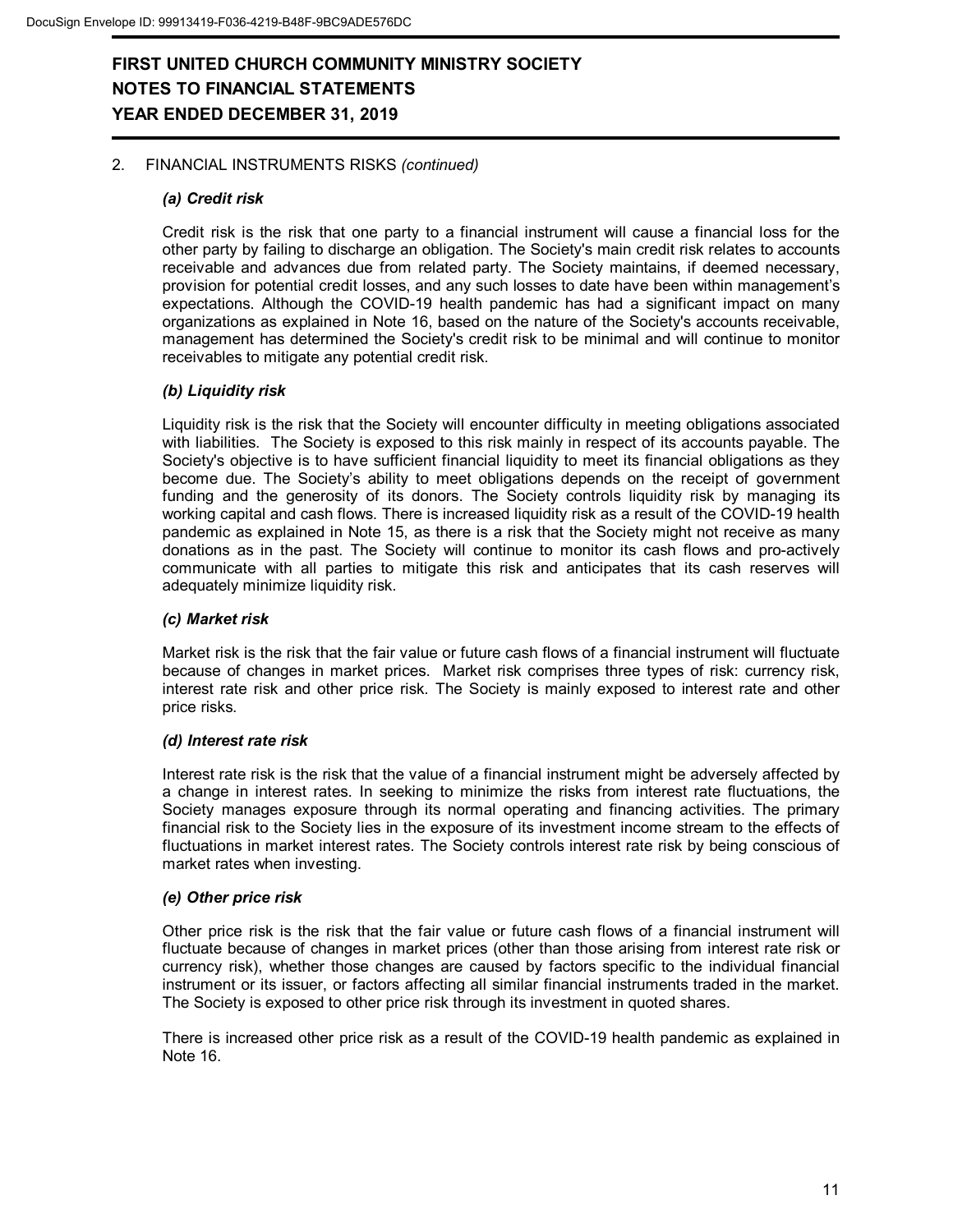### 2. FINANCIAL INSTRUMENTS RISKS *(continued)*

#### *(a) Credit risk*

Credit risk is the risk that one party to a financial instrument will cause a financial loss for the other party by failing to discharge an obligation. The Society's main credit risk relates to accounts receivable and advances due from related party. The Society maintains, if deemed necessary, provision for potential credit losses, and any such losses to date have been within management's expectations. Although the COVID-19 health pandemic has had a significant impact on many organizations as explained in Note 16, based on the nature of the Society's accounts receivable, management has determined the Society's credit risk to be minimal and will continue to monitor receivables to mitigate any potential credit risk.

#### *(b) Liquidity risk*

Liquidity risk is the risk that the Society will encounter difficulty in meeting obligations associated with liabilities. The Society is exposed to this risk mainly in respect of its accounts payable. The Society's objective is to have sufficient financial liquidity to meet its financial obligations as they become due. The Society's ability to meet obligations depends on the receipt of government funding and the generosity of its donors. The Society controls liquidity risk by managing its working capital and cash flows. There is increased liquidity risk as a result of the COVID-19 health pandemic as explained in Note 15, as there is a risk that the Society might not receive as many donations as in the past. The Society will continue to monitor its cash flows and pro-actively communicate with all parties to mitigate this risk and anticipates that its cash reserves will adequately minimize liquidity risk.

### *(c) Market risk*

Market risk is the risk that the fair value or future cash flows of a financial instrument will fluctuate because of changes in market prices. Market risk comprises three types of risk: currency risk, interest rate risk and other price risk. The Society is mainly exposed to interest rate and other price risks.

#### *(d) Interest rate risk*

Interest rate risk is the risk that the value of a financial instrument might be adversely affected by a change in interest rates. In seeking to minimize the risks from interest rate fluctuations, the Society manages exposure through its normal operating and financing activities. The primary financial risk to the Society lies in the exposure of its investment income stream to the effects of fluctuations in market interest rates. The Society controls interest rate risk by being conscious of market rates when investing.

#### *(e) Other price risk*

Other price risk is the risk that the fair value or future cash flows of a financial instrument will fluctuate because of changes in market prices (other than those arising from interest rate risk or currency risk), whether those changes are caused by factors specific to the individual financial instrument or its issuer, or factors affecting all similar financial instruments traded in the market. The Society is exposed to other price risk through its investment in quoted shares.

There is increased other price risk as a result of the COVID-19 health pandemic as explained in Note 16.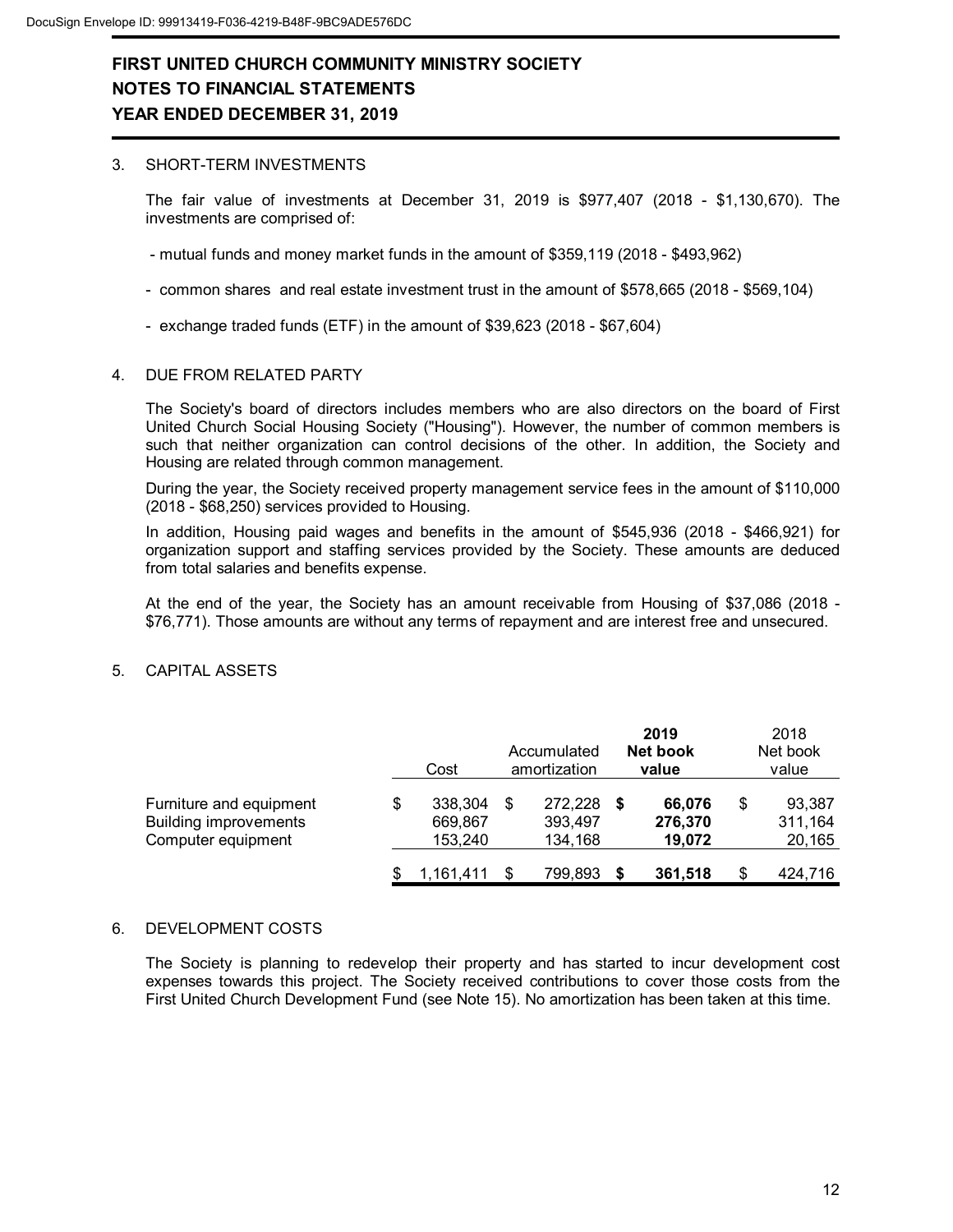#### 3. SHORT-TERM INVESTMENTS

The fair value of investments at December 31, 2019 is \$977,407 (2018 - \$1,130,670). The investments are comprised of:

- mutual funds and money market funds in the amount of \$359,119 (2018 \$493,962)
- common shares and real estate investment trust in the amount of \$578,665 (2018 \$569,104)
- exchange traded funds (ETF) in the amount of \$39,623 (2018 \$67,604)

#### 4. DUE FROM RELATED PARTY

The Society's board of directors includes members who are also directors on the board of First United Church Social Housing Society ("Housing"). However, the number of common members is such that neither organization can control decisions of the other. In addition, the Society and Housing are related through common management.

During the year, the Society received property management service fees in the amount of \$110,000 (2018 - \$68,250) services provided to Housing.

In addition, Housing paid wages and benefits in the amount of \$545,936 (2018 - \$466,921) for organization support and staffing services provided by the Society. These amounts are deduced from total salaries and benefits expense.

At the end of the year, the Society has an amount receivable from Housing of \$37,086 (2018 - \$76,771). Those amounts are without any terms of repayment and are interest free and unsecured.

### 5. CAPITAL ASSETS

|                                                                               | Cost                                | Accumulated<br>amortization   | 2019<br>Net book<br>value   | 2018<br>Net book<br>value         |
|-------------------------------------------------------------------------------|-------------------------------------|-------------------------------|-----------------------------|-----------------------------------|
| Furniture and equipment<br><b>Building improvements</b><br>Computer equipment | \$<br>338,304<br>669,867<br>153.240 | 272,228<br>393.497<br>134,168 | 66,076<br>276,370<br>19.072 | \$<br>93,387<br>311,164<br>20,165 |
|                                                                               | 1,161,411                           | 799,893                       | 361,518                     | \$<br>424,716                     |

#### 6. DEVELOPMENT COSTS

The Society is planning to redevelop their property and has started to incur development cost expenses towards this project. The Society received contributions to cover those costs from the First United Church Development Fund (see Note 15). No amortization has been taken at this time.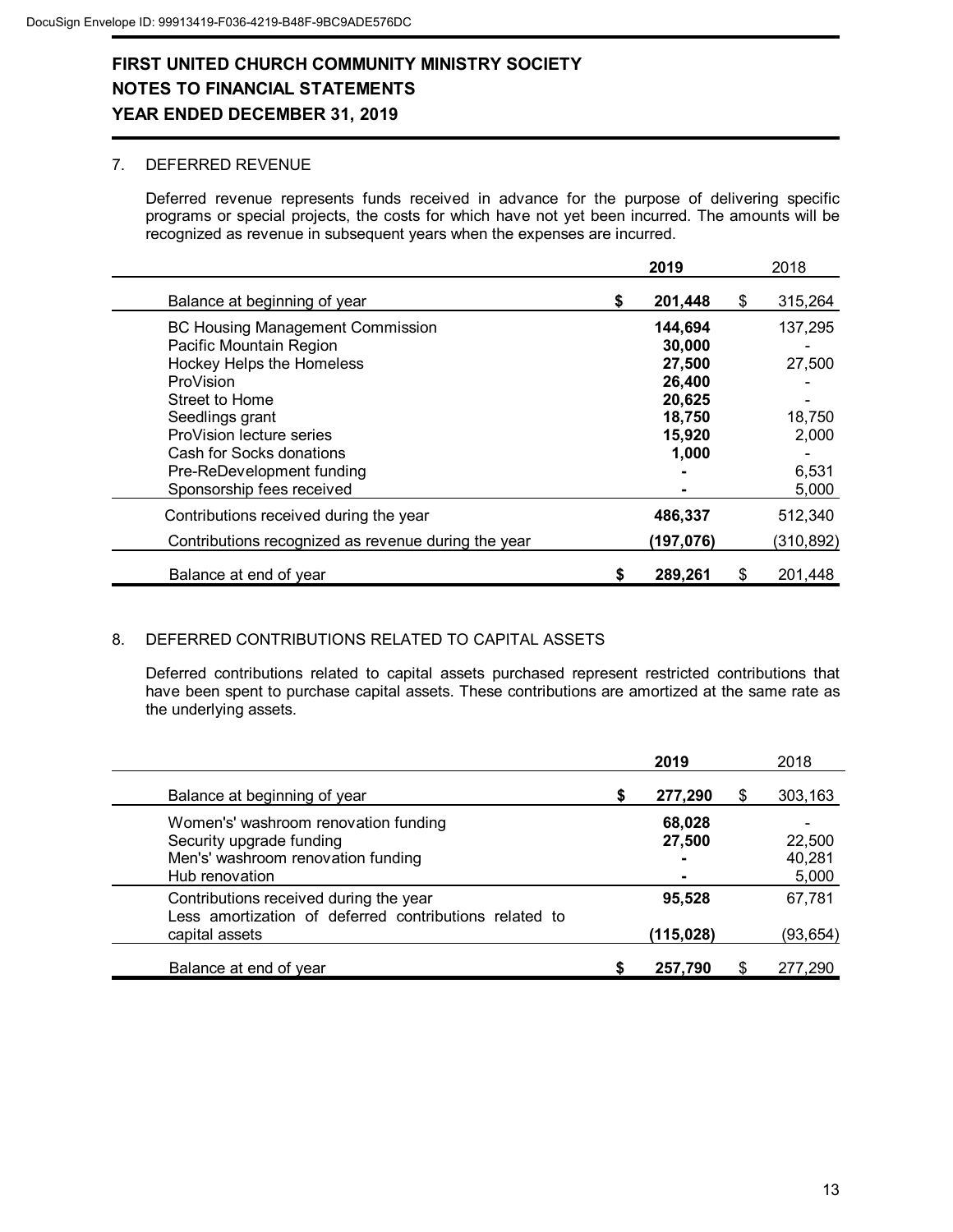### 7. DEFERRED REVENUE

Deferred revenue represents funds received in advance for the purpose of delivering specific programs or special projects, the costs for which have not yet been incurred. The amounts will be recognized as revenue in subsequent years when the expenses are incurred.

|                                                     | 2019          | 2018          |
|-----------------------------------------------------|---------------|---------------|
| Balance at beginning of year                        | \$<br>201,448 | \$<br>315,264 |
| <b>BC Housing Management Commission</b>             | 144,694       | 137,295       |
| Pacific Mountain Region                             | 30,000        |               |
| <b>Hockey Helps the Homeless</b>                    | 27,500        | 27,500        |
| ProVision                                           | 26,400        |               |
| Street to Home                                      | 20,625        |               |
| Seedlings grant                                     | 18,750        | 18,750        |
| ProVision lecture series                            | 15,920        | 2,000         |
| Cash for Socks donations                            | 1,000         |               |
| Pre-ReDevelopment funding                           |               | 6,531         |
| Sponsorship fees received                           |               | 5,000         |
| Contributions received during the year              | 486,337       | 512,340       |
| Contributions recognized as revenue during the year | (197,076)     | (310, 892)    |
| Balance at end of year                              | \$<br>289,261 | \$<br>201,448 |

### 8. DEFERRED CONTRIBUTIONS RELATED TO CAPITAL ASSETS

Deferred contributions related to capital assets purchased represent restricted contributions that have been spent to purchase capital assets. These contributions are amortized at the same rate as the underlying assets.

|                                                                                                                          |   | 2019                                    |    | 2018                      |
|--------------------------------------------------------------------------------------------------------------------------|---|-----------------------------------------|----|---------------------------|
| Balance at beginning of year                                                                                             | S | 277,290                                 | \$ | 303,163                   |
| Women's' washroom renovation funding<br>Security upgrade funding<br>Men's' washroom renovation funding<br>Hub renovation |   | 68,028<br>27,500<br>۰<br>$\blacksquare$ |    | 22,500<br>40,281<br>5,000 |
| Contributions received during the year<br>Less amortization of deferred contributions related to<br>capital assets       |   | 95,528<br>(115, 028)                    |    | 67,781<br>(93, 654)       |
| Balance at end of year                                                                                                   |   | 257,790                                 | S  | 277,290                   |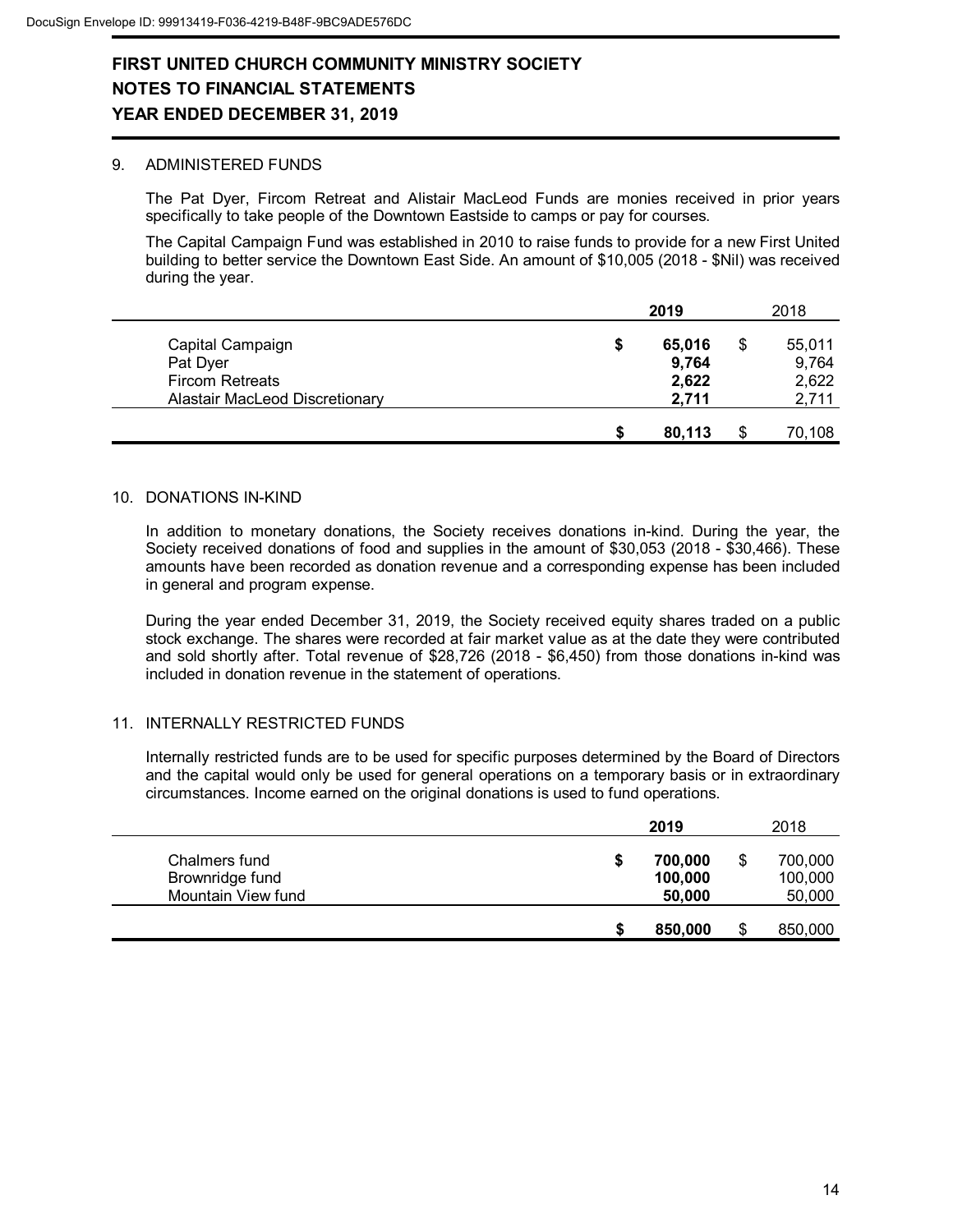#### 9. ADMINISTERED FUNDS

The Pat Dyer, Fircom Retreat and Alistair MacLeod Funds are monies received in prior years specifically to take people of the Downtown Eastside to camps or pay for courses.

The Capital Campaign Fund was established in 2010 to raise funds to provide for a new First United building to better service the Downtown East Side. An amount of \$10,005 (2018 - \$Nil) was received during the year.

|                                                                                          |   | 2019                              | 2018 |                                   |
|------------------------------------------------------------------------------------------|---|-----------------------------------|------|-----------------------------------|
| Capital Campaign<br>Pat Dyer<br><b>Fircom Retreats</b><br>Alastair MacLeod Discretionary | S | 65,016<br>9,764<br>2,622<br>2,711 | S    | 55,011<br>9,764<br>2,622<br>2,711 |
|                                                                                          | S | 80,113                            |      | 70,108                            |

#### 10. DONATIONS IN-KIND

In addition to monetary donations, the Society receives donations in-kind. During the year, the Society received donations of food and supplies in the amount of \$30,053 (2018 - \$30,466). These amounts have been recorded as donation revenue and a corresponding expense has been included in general and program expense.

During the year ended December 31, 2019, the Society received equity shares traded on a public stock exchange. The shares were recorded at fair market value as at the date they were contributed and sold shortly after. Total revenue of \$28,726 (2018 - \$6,450) from those donations in-kind was included in donation revenue in the statement of operations.

#### 11. INTERNALLY RESTRICTED FUNDS

Internally restricted funds are to be used for specific purposes determined by the Board of Directors and the capital would only be used for general operations on a temporary basis or in extraordinary circumstances. Income earned on the original donations is used to fund operations.

|                                                        |   | 2019                         | 2018                         |
|--------------------------------------------------------|---|------------------------------|------------------------------|
| Chalmers fund<br>Brownridge fund<br>Mountain View fund | S | 700,000<br>100,000<br>50,000 | 700,000<br>100,000<br>50,000 |
|                                                        |   | 850,000                      | 850,000                      |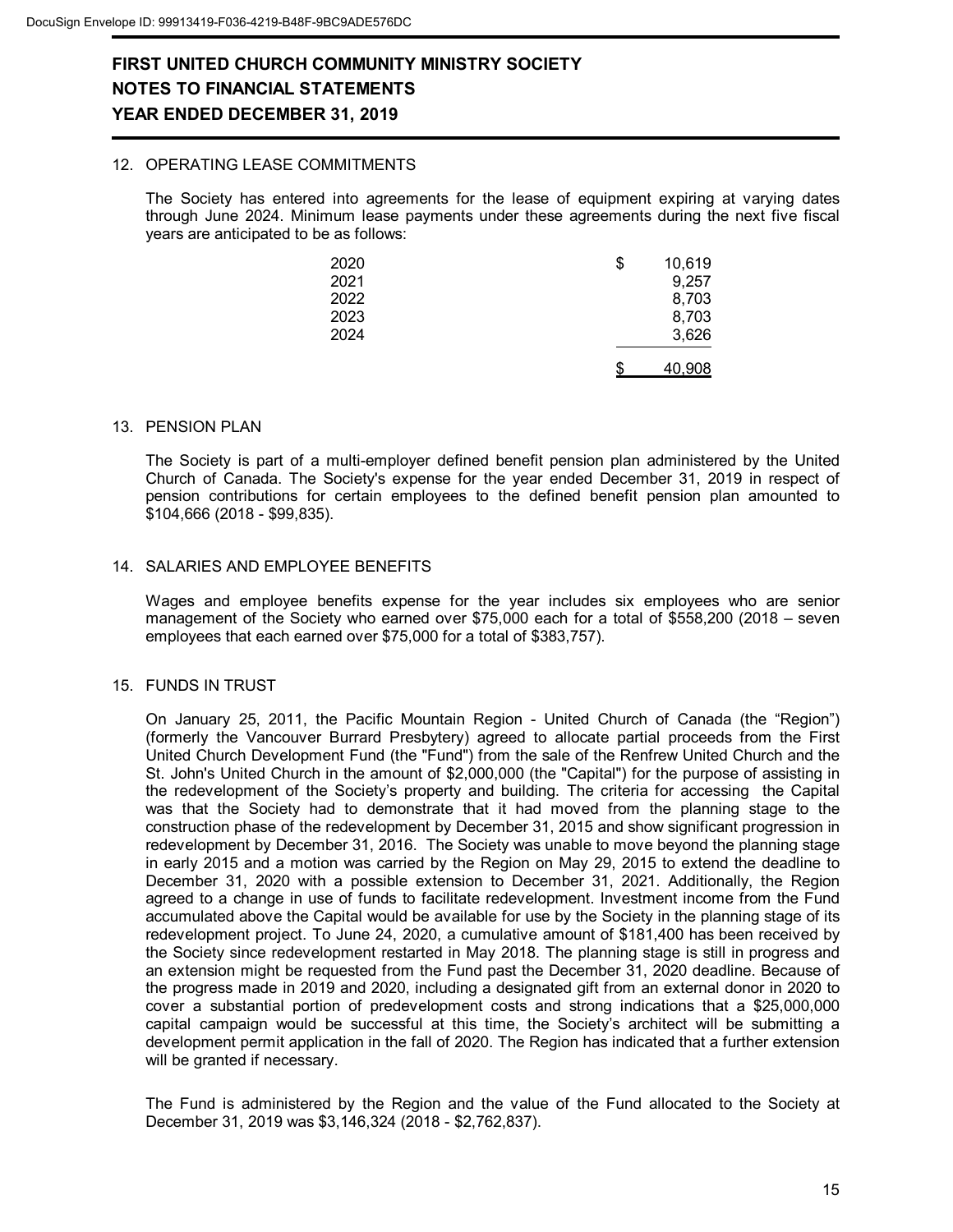#### 12. OPERATING LEASE COMMITMENTS

The Society has entered into agreements for the lease of equipment expiring at varying dates through June 2024. Minimum lease payments under these agreements during the next five fiscal years are anticipated to be as follows:

| 2020 | \$<br>10,619 |
|------|--------------|
| 2021 | 9,257        |
| 2022 | 8,703        |
| 2023 | 8,703        |
| 2024 | 3,626        |
|      | 40,908       |

#### 13. PENSION PLAN

The Society is part of a multi-employer defined benefit pension plan administered by the United Church of Canada. The Society's expense for the year ended December 31, 2019 in respect of pension contributions for certain employees to the defined benefit pension plan amounted to \$104,666 (2018 - \$99,835).

#### 14. SALARIES AND EMPLOYEE BENEFITS

Wages and employee benefits expense for the year includes six employees who are senior management of the Society who earned over \$75,000 each for a total of \$558,200 (2018 – seven employees that each earned over \$75,000 for a total of \$383,757).

#### 15. FUNDS IN TRUST

On January 25, 2011, the Pacific Mountain Region - United Church of Canada (the "Region") (formerly the Vancouver Burrard Presbytery) agreed to allocate partial proceeds from the First United Church Development Fund (the "Fund") from the sale of the Renfrew United Church and the St. John's United Church in the amount of \$2,000,000 (the "Capital") for the purpose of assisting in the redevelopment of the Society's property and building. The criteria for accessing the Capital was that the Society had to demonstrate that it had moved from the planning stage to the construction phase of the redevelopment by December 31, 2015 and show significant progression in redevelopment by December 31, 2016. The Society was unable to move beyond the planning stage in early 2015 and a motion was carried by the Region on May 29, 2015 to extend the deadline to December 31, 2020 with a possible extension to December 31, 2021. Additionally, the Region agreed to a change in use of funds to facilitate redevelopment. Investment income from the Fund accumulated above the Capital would be available for use by the Society in the planning stage of its redevelopment project. To June 24, 2020, a cumulative amount of \$181,400 has been received by the Society since redevelopment restarted in May 2018. The planning stage is still in progress and an extension might be requested from the Fund past the December 31, 2020 deadline. Because of the progress made in 2019 and 2020, including a designated gift from an external donor in 2020 to cover a substantial portion of predevelopment costs and strong indications that a \$25,000,000 capital campaign would be successful at this time, the Society's architect will be submitting a development permit application in the fall of 2020. The Region has indicated that a further extension will be granted if necessary.

The Fund is administered by the Region and the value of the Fund allocated to the Society at December 31, 2019 was \$3,146,324 (2018 - \$2,762,837).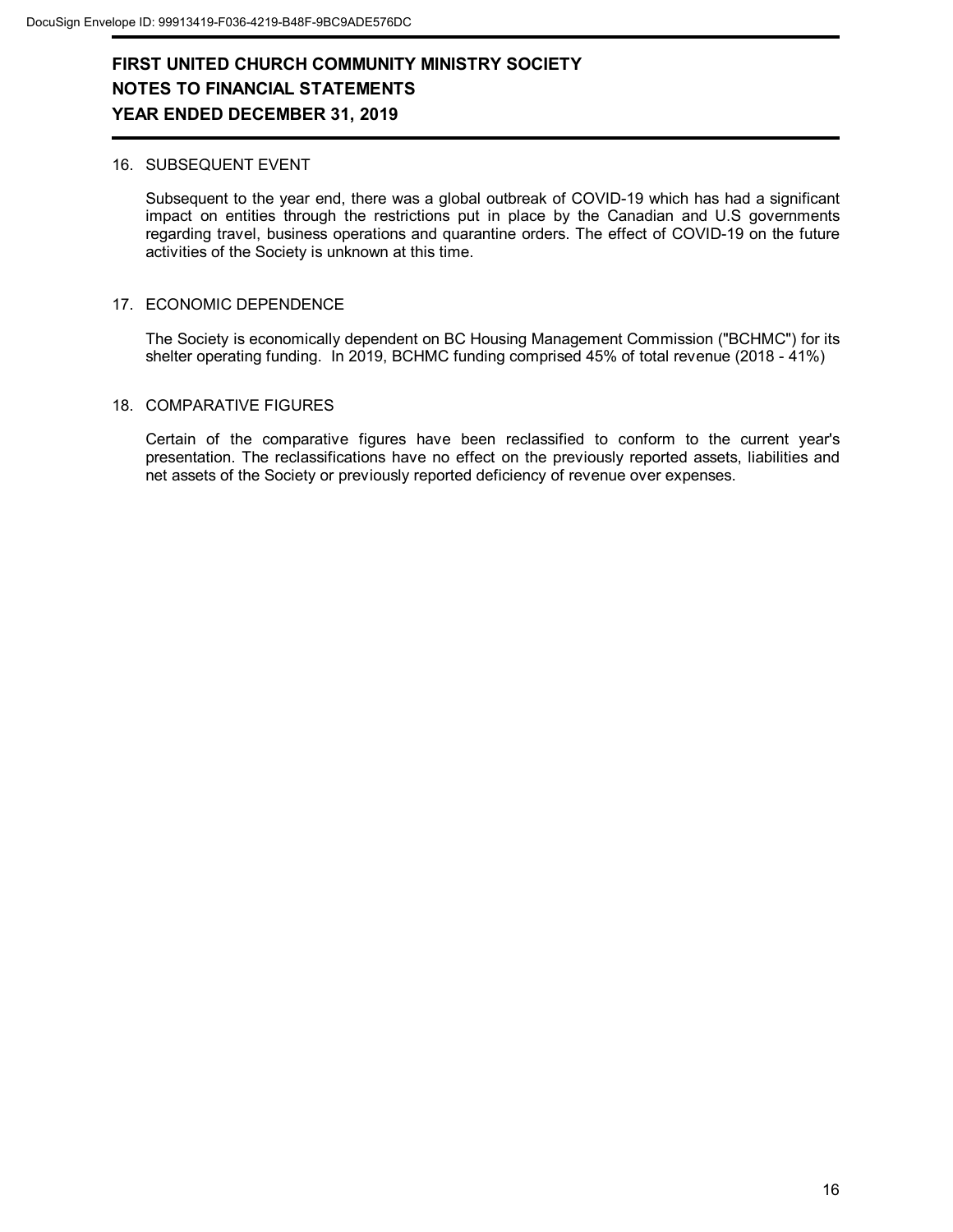#### 16. SUBSEQUENT EVENT

Subsequent to the year end, there was a global outbreak of COVID-19 which has had a significant impact on entities through the restrictions put in place by the Canadian and U.S governments regarding travel, business operations and quarantine orders. The effect of COVID-19 on the future activities of the Society is unknown at this time.

#### 17. ECONOMIC DEPENDENCE

The Society is economically dependent on BC Housing Management Commission ("BCHMC") for its shelter operating funding. In 2019, BCHMC funding comprised 45% of total revenue (2018 - 41%)

#### 18. COMPARATIVE FIGURES

Certain of the comparative figures have been reclassified to conform to the current year's presentation. The reclassifications have no effect on the previously reported assets, liabilities and net assets of the Society or previously reported deficiency of revenue over expenses.